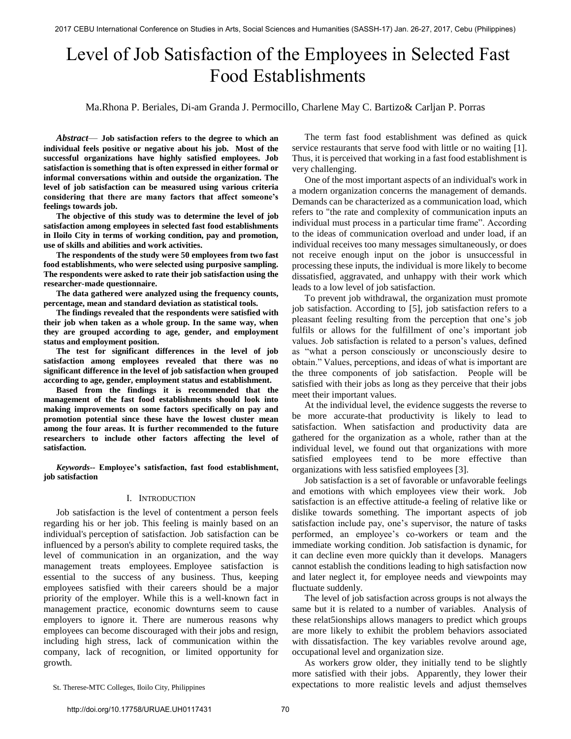# Level of Job Satisfaction of the Employees in Selected Fast Food Establishments

Ma.Rhona P. Beriales, Di-am Granda J. Permocillo, Charlene May C. Bartizo& Carljan P. Porras

*Abstract*— **Job satisfaction refers to the degree to which an individual feels positive or negative about his job. Most of the successful organizations have highly satisfied employees. Job satisfaction is something that is often expressed in either formal or informal conversations within and outside the organization. The level of job satisfaction can be measured using various criteria considering that there are many factors that affect someone's feelings towards job.** 

**The objective of this study was to determine the level of job satisfaction among employees in selected fast food establishments in Iloilo City in terms of working condition, pay and promotion, use of skills and abilities and work activities.** 

**The respondents of the study were 50 employees from two fast food establishments, who were selected using purposive sampling. The respondents were asked to rate their job satisfaction using the researcher-made questionnaire.** 

**The data gathered were analyzed using the frequency counts, percentage, mean and standard deviation as statistical tools.** 

**The findings revealed that the respondents were satisfied with their job when taken as a whole group. In the same way, when they are grouped according to age, gender, and employment status and employment position.** 

**The test for significant differences in the level of job satisfaction among employees revealed that there was no significant difference in the level of job satisfaction when grouped according to age, gender, employment status and establishment.** 

**Based from the findings it is recommended that the management of the fast food establishments should look into making improvements on some factors specifically on pay and promotion potential since these have the lowest cluster mean among the four areas. It is further recommended to the future researchers to include other factors affecting the level of satisfaction.** 

*Keywords--* **Employee's satisfaction, fast food establishment, job satisfaction** 

## I. INTRODUCTION

Job satisfaction is the level of contentment a person feels regarding his or her job. This feeling is mainly based on an individual's [perception](https://www.boundless.com/definition/perception/) of satisfaction. Job satisfaction can be influenced by a person's ability to complete required tasks, the level of communication in an organization, and the way management treats employees. Employee satisfaction is essential to the success of any business. Thus, keeping employees satisfied with their careers should be a major priority of the employer. While this is a well-known fact in management practice, economic downturns seem to cause employers to ignore it. There are numerous reasons why employees can become discouraged with their jobs and resign, including high stress, lack of communication within the company, lack of recognition, or limited opportunity for growth.

The term fast food establishment was defined as quick service restaurants that serve food with little or no waiting [1]. Thus, it is perceived that working in a fast food establishment is very challenging.

One of the most important aspects of an individual's work in a modern organization concerns the management of demands. Demands can be characterized as a communication load, which refers to "the rate and complexity of communication [inputs a](https://www.boundless.com/definition/input/)n individual must process in a particular time frame". According to the ideas of communication overload and under load, if an individual receives too many messages simultaneously, or does not receive enough input on the jobor is unsuccessful in processing these inputs, the individual is more likely to become dissatisfied, aggravated, and unhappy with their work which leads to a low level of job satisfaction.

To prevent job withdrawal, the organization must promote job satisfaction. According to [5], job satisfaction refers to a pleasant feeling resulting from the perception that one's job fulfils or allows for the fulfillment of one's important job values. Job satisfaction is related to a person's values, defined as "what a person consciously or unconsciously desire to obtain." Values, perceptions, and ideas of what is important are the three components of job satisfaction. People will be satisfied with their jobs as long as they perceive that their jobs meet their important values.

At the individual level, the evidence suggests the reverse to be more accurate-that productivity is likely to lead to satisfaction. When satisfaction and productivity data are gathered for the organization as a whole, rather than at the individual level, we found out that organizations with more satisfied employees tend to be more effective than organizations with less satisfied employees [3].

Job satisfaction is a set of favorable or unfavorable feelings and emotions with which employees view their work. Job satisfaction is an effective attitude-a feeling of relative like or dislike towards something. The important aspects of job satisfaction include pay, one's supervisor, the nature of tasks performed, an employee's co-workers or team and the immediate working condition. Job satisfaction is dynamic, for it can decline even more quickly than it develops. Managers cannot establish the conditions leading to high satisfaction now and later neglect it, for employee needs and viewpoints may fluctuate suddenly.

The level of job satisfaction across groups is not always the same but it is related to a number of variables. Analysis of these relat5ionships allows managers to predict which groups are more likely to exhibit the problem behaviors associated with dissatisfaction. The key variables revolve around age, occupational level and organization size.

As workers grow older, they initially tend to be slightly more satisfied with their jobs. Apparently, they lower their expectations to more realistic levels and adjust themselves

St. Therese-MTC Colleges, Iloilo City, Philippines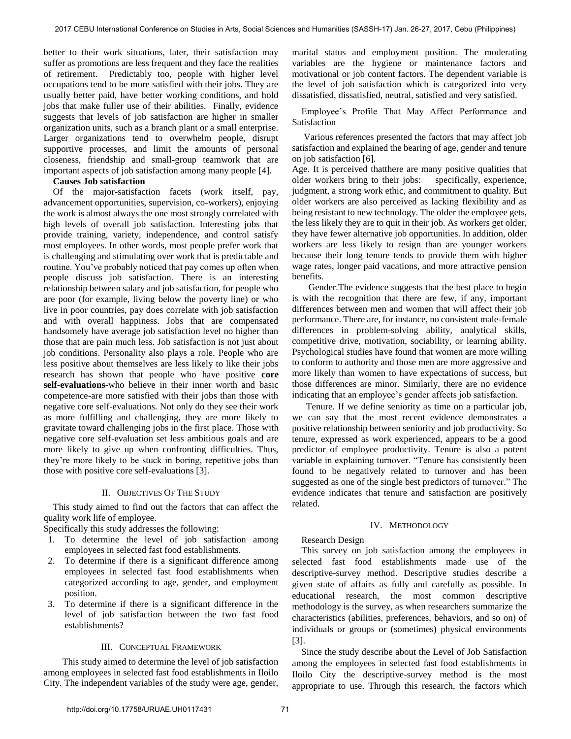better to their work situations, later, their satisfaction may suffer as promotions are less frequent and they face the realities of retirement. Predictably too, people with higher level occupations tend to be more satisfied with their jobs. They are usually better paid, have better working conditions, and hold jobs that make fuller use of their abilities. Finally, evidence suggests that levels of job satisfaction are higher in smaller organization units, such as a branch plant or a small enterprise. Larger organizations tend to overwhelm people, disrupt supportive processes, and limit the amounts of personal closeness, friendship and small-group teamwork that are important aspects of job satisfaction among many people [4].

## **Causes Job satisfaction**

 Of the major-satisfaction facets (work itself, pay, advancement opportunities, supervision, co-workers), enjoying the work is almost always the one most strongly correlated with high levels of overall job satisfaction. Interesting jobs that provide training, variety, independence, and control satisfy most employees. In other words, most people prefer work that is challenging and stimulating over work that is predictable and routine. You've probably noticed that pay comes up often when people discuss job satisfaction. There is an interesting relationship between salary and job satisfaction, for people who are poor (for example, living below the poverty line) or who live in poor countries, pay does correlate with job satisfaction and with overall happiness. Jobs that are compensated handsomely have average job satisfaction level no higher than those that are pain much less. Job satisfaction is not just about job conditions. Personality also plays a role. People who are less positive about themselves are less likely to like their jobs research has shown that people who have positive **core self-evaluations-**who believe in their inner worth and basic competence-are more satisfied with their jobs than those with negative core self-evaluations. Not only do they see their work as more fulfilling and challenging, they are more likely to gravitate toward challenging jobs in the first place. Those with negative core self-evaluation set less ambitious goals and are more likely to give up when confronting difficulties. Thus, they're more likely to be stuck in boring, repetitive jobs than those with positive core self-evaluations [3].

## II. OBJECTIVES OF THE STUDY

 This study aimed to find out the factors that can affect the quality work life of employee.

Specifically this study addresses the following:

- 1. To determine the level of job satisfaction among employees in selected fast food establishments.
- 2. To determine if there is a significant difference among employees in selected fast food establishments when categorized according to age, gender, and employment position.
- 3. To determine if there is a significant difference in the level of job satisfaction between the two fast food establishments?

## III. CONCEPTUAL FRAMEWORK

 This study aimed to determine the level of job satisfaction among employees in selected fast food establishments in Iloilo City. The independent variables of the study were age, gender,

marital status and employment position. The moderating variables are the hygiene or maintenance factors and motivational or job content factors. The dependent variable is the level of job satisfaction which is categorized into very dissatisfied, dissatisfied, neutral, satisfied and very satisfied.

Employee's Profile That May Affect Performance and Satisfaction

 Various references presented the factors that may affect job satisfaction and explained the bearing of age, gender and tenure on job satisfaction [6].

Age. It is perceived thatthere are many positive qualities that older workers bring to their jobs: specifically, experience, judgment, a strong work ethic, and commitment to quality. But older workers are also perceived as lacking flexibility and as being resistant to new technology. The older the employee gets, the less likely they are to quit in their job. As workers get older, they have fewer alternative job opportunities. In addition, older workers are less likely to resign than are younger workers because their long tenure tends to provide them with higher wage rates, longer paid vacations, and more attractive pension benefits.

 Gender.The evidence suggests that the best place to begin is with the recognition that there are few, if any, important differences between men and women that will affect their job performance. There are, for instance, no consistent male-female differences in problem-solving ability, analytical skills, competitive drive, motivation, sociability, or learning ability. Psychological studies have found that women are more willing to conform to authority and those men are more aggressive and more likely than women to have expectations of success, but those differences are minor. Similarly, there are no evidence indicating that an employee's gender affects job satisfaction.

 Tenure. If we define seniority as time on a particular job, we can say that the most recent evidence demonstrates a positive relationship between seniority and job productivity. So tenure, expressed as work experienced, appears to be a good predictor of employee productivity. Tenure is also a potent variable in explaining turnover. "Tenure has consistently been found to be negatively related to turnover and has been suggested as one of the single best predictors of turnover." The evidence indicates that tenure and satisfaction are positively related.

## IV. METHODOLOGY

## Research Design

This survey on job satisfaction among the employees in selected fast food establishments made use of the descriptive-survey method. Descriptive studies describe a given state of affairs as fully and carefully as possible. In educational research, the most common descriptive methodology is the survey, as when researchers summarize the characteristics (abilities, preferences, behaviors, and so on) of individuals or groups or (sometimes) physical environments [3].

Since the study describe about the Level of Job Satisfaction among the employees in selected fast food establishments in Iloilo City the descriptive-survey method is the most appropriate to use. Through this research, the factors which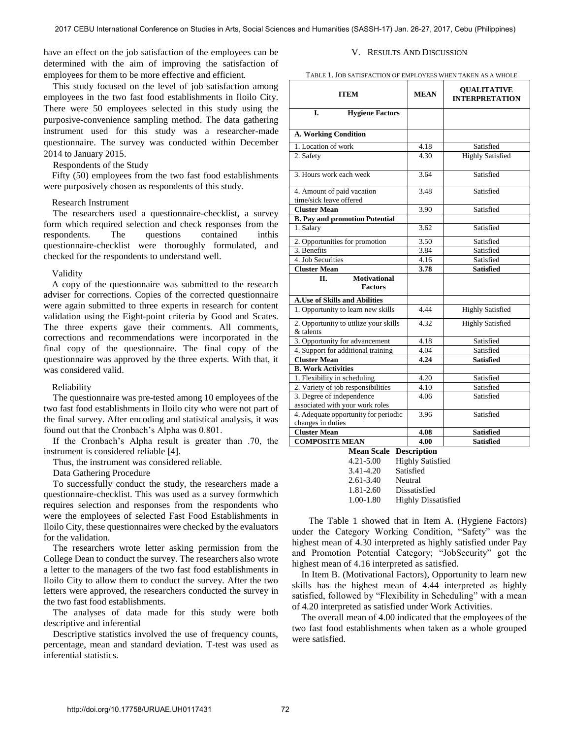have an effect on the job satisfaction of the employees can be determined with the aim of improving the satisfaction of employees for them to be more effective and efficient.

This study focused on the level of job satisfaction among employees in the two fast food establishments in Iloilo City. There were 50 employees selected in this study using the purposive-convenience sampling method. The data gathering instrument used for this study was a researcher-made questionnaire. The survey was conducted within December 2014 to January 2015.

## Respondents of the Study

Fifty (50) employees from the two fast food establishments were purposively chosen as respondents of this study.

#### Research Instrument

 The researchers used a questionnaire-checklist, a survey form which required selection and check responses from the respondents. The questions contained inthis questionnaire-checklist were thoroughly formulated, and checked for the respondents to understand well.

#### Validity

A copy of the questionnaire was submitted to the research adviser for corrections. Copies of the corrected questionnaire were again submitted to three experts in research for content validation using the Eight-point criteria by Good and Scates. The three experts gave their comments. All comments, corrections and recommendations were incorporated in the final copy of the questionnaire. The final copy of the questionnaire was approved by the three experts. With that, it was considered valid.

## Reliability

 The questionnaire was pre-tested among 10 employees of the two fast food establishments in Iloilo city who were not part of the final survey. After encoding and statistical analysis, it was found out that the Cronbach's Alpha was 0.801.

 If the Cronbach's Alpha result is greater than .70, the instrument is considered reliable [4].

Thus, the instrument was considered reliable.

Data Gathering Procedure

 To successfully conduct the study, the researchers made a questionnaire-checklist. This was used as a survey formwhich requires selection and responses from the respondents who were the employees of selected Fast Food Establishments in Iloilo City, these questionnaires were checked by the evaluators for the validation.

 The researchers wrote letter asking permission from the College Dean to conduct the survey. The researchers also wrote a letter to the managers of the two fast food establishments in Iloilo City to allow them to conduct the survey. After the two letters were approved, the researchers conducted the survey in the two fast food establishments.

 The analyses of data made for this study were both descriptive and inferential

 Descriptive statistics involved the use of frequency counts, percentage, mean and standard deviation. T-test was used as inferential statistics.

## V. RESULTS AND DISCUSSION

TABLE 1. JOB SATISFACTION OF EMPLOYEES WHEN TAKEN AS A WHOLE

| <b>ITEM</b>                                               | <b>MEAN</b> | <b>QUALITATIVE</b><br><b>INTERPRETATION</b> |  |
|-----------------------------------------------------------|-------------|---------------------------------------------|--|
| I.<br><b>Hygiene Factors</b>                              |             |                                             |  |
| A. Working Condition                                      |             |                                             |  |
| 1. Location of work                                       | 4.18        | Satisfied                                   |  |
| 2. Safety                                                 | 4.30        | <b>Highly Satisfied</b>                     |  |
| 3. Hours work each week                                   | 3.64        | Satisfied                                   |  |
| 4. Amount of paid vacation<br>time/sick leave offered     | 3.48        | Satisfied                                   |  |
| <b>Cluster Mean</b>                                       | 3.90        | Satisfied                                   |  |
| <b>B.</b> Pay and promotion Potential                     |             |                                             |  |
| 1. Salary                                                 | 3.62        | Satisfied                                   |  |
| 2. Opportunities for promotion                            | 3.50        | Satisfied                                   |  |
| 3. Benefits                                               | 3.84        | Satisfied                                   |  |
| 4. Job Securities                                         | 4.16        | Satisfied                                   |  |
| <b>Cluster Mean</b>                                       | 3.78        | <b>Satisfied</b>                            |  |
| <b>Motivational</b><br>П.<br><b>Factors</b>               |             |                                             |  |
| <b>A.Use of Skills and Abilities</b>                      |             |                                             |  |
| 1. Opportunity to learn new skills                        | 4.44        | <b>Highly Satisfied</b>                     |  |
| 2. Opportunity to utilize your skills<br>& talents        | 4.32        | <b>Highly Satisfied</b>                     |  |
| 3. Opportunity for advancement                            | 4.18        | Satisfied                                   |  |
| 4. Support for additional training                        | 4.04        | Satisfied                                   |  |
| <b>Cluster Mean</b>                                       | 4.24        | <b>Satisfied</b>                            |  |
| <b>B. Work Activities</b>                                 |             |                                             |  |
| 1. Flexibility in scheduling                              | 4.20        | Satisfied                                   |  |
| 2. Variety of job responsibilities                        | 4.10        | Satisfied                                   |  |
| 3. Degree of independence                                 | 4.06        | Satisfied                                   |  |
| associated with your work roles                           |             |                                             |  |
| 4. Adequate opportunity for periodic<br>changes in duties | 3.96        | Satisfied                                   |  |
| <b>Cluster Mean</b>                                       | 4.08        | <b>Satisfied</b>                            |  |
| <b>COMPOSITE MEAN</b>                                     | 4.00        | <b>Satisfied</b>                            |  |

**Mean Scale Description**  4.21-5.00 Highly Satisfied 3.41-4.20 Satisfied 2.61-3.40 Neutral 1.81-2.60 Dissatisfied 1.00-1.80 Highly Dissatisfied

The Table 1 showed that in Item A. (Hygiene Factors) under the Category Working Condition, "Safety" was the highest mean of 4.30 interpreted as highly satisfied under Pay and Promotion Potential Category; "JobSecurity" got the highest mean of 4.16 interpreted as satisfied.

In Item B. (Motivational Factors), Opportunity to learn new skills has the highest mean of 4.44 interpreted as highly satisfied, followed by "Flexibility in Scheduling" with a mean of 4.20 interpreted as satisfied under Work Activities.

 The overall mean of 4.00 indicated that the employees of the two fast food establishments when taken as a whole grouped were satisfied.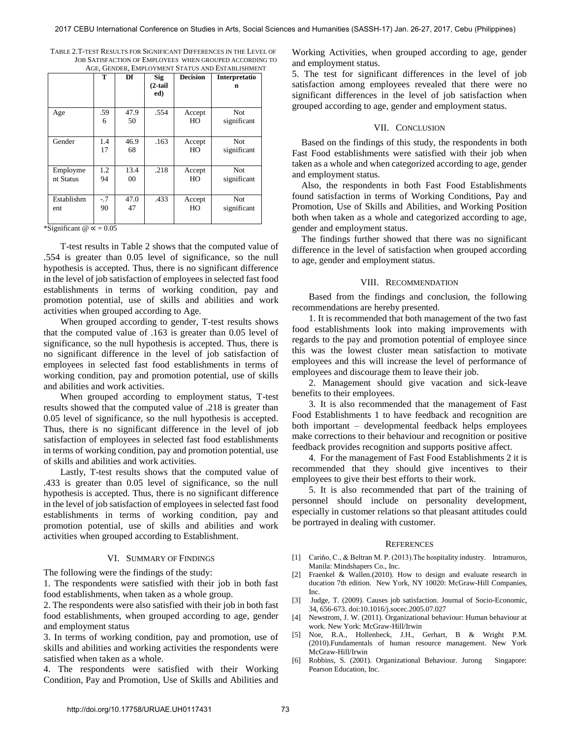| TABLE 2.T-TEST RESULTS FOR SIGNIFICANT DIFFERENCES IN THE LEVEL OF |
|--------------------------------------------------------------------|
| JOB SATISFACTION OF EMPLOYEES WHEN GROUPED ACCORDING TO            |
| AGE, GENDER, EMPLOYMENT STATUS AND ESTABLISHMENT                   |

|                       | т           | Df         | Sig<br>$(2-tail)$<br>ed) | <b>Decision</b> | Interpretatio<br>n        |
|-----------------------|-------------|------------|--------------------------|-----------------|---------------------------|
| Age                   | .59<br>6    | 47.9<br>50 | .554                     | Accept<br>HO    | Not.<br>significant       |
| Gender                | 1.4<br>17   | 46.9<br>68 | .163                     | Accept<br>HO    | Not.<br>significant       |
| Employme<br>nt Status | 1.2<br>94   | 13.4<br>00 | .218                     | Accept<br>HO    | <b>Not</b><br>significant |
| Establishm<br>ent     | $-.7$<br>90 | 47.0<br>47 | .433                     | Accept<br>HO    | <b>Not</b><br>significant |

\*Significant  $\omega \propto 0.05$ 

T-test results in Table 2 shows that the computed value of .554 is greater than 0.05 level of significance, so the null hypothesis is accepted. Thus, there is no significant difference in the level of job satisfaction of employees in selected fast food establishments in terms of working condition, pay and promotion potential, use of skills and abilities and work activities when grouped according to Age.

When grouped according to gender, T-test results shows that the computed value of .163 is greater than 0.05 level of significance, so the null hypothesis is accepted. Thus, there is no significant difference in the level of job satisfaction of employees in selected fast food establishments in terms of working condition, pay and promotion potential, use of skills and abilities and work activities.

When grouped according to employment status, T-test results showed that the computed value of .218 is greater than 0.05 level of significance, so the null hypothesis is accepted. Thus, there is no significant difference in the level of job satisfaction of employees in selected fast food establishments in terms of working condition, pay and promotion potential, use of skills and abilities and work activities.

Lastly, T-test results shows that the computed value of .433 is greater than 0.05 level of significance, so the null hypothesis is accepted. Thus, there is no significant difference in the level of job satisfaction of employees in selected fast food establishments in terms of working condition, pay and promotion potential, use of skills and abilities and work activities when grouped according to Establishment.

## VI. SUMMARY OF FINDINGS

The following were the findings of the study:

1. The respondents were satisfied with their job in both fast food establishments, when taken as a whole group.

2. The respondents were also satisfied with their job in both fast food establishments, when grouped according to age, gender and employment status

3. In terms of working condition, pay and promotion, use of skills and abilities and working activities the respondents were satisfied when taken as a whole.

4. The respondents were satisfied with their Working Condition, Pay and Promotion, Use of Skills and Abilities and Working Activities, when grouped according to age, gender and employment status.

5. The test for significant differences in the level of job satisfaction among employees revealed that there were no significant differences in the level of job satisfaction when grouped according to age, gender and employment status.

#### VII. CONCLUSION

 Based on the findings of this study, the respondents in both Fast Food establishments were satisfied with their job when taken as a whole and when categorized according to age, gender and employment status.

 Also, the respondents in both Fast Food Establishments found satisfaction in terms of Working Conditions, Pay and Promotion, Use of Skills and Abilities, and Working Position both when taken as a whole and categorized according to age, gender and employment status.

 The findings further showed that there was no significant difference in the level of satisfaction when grouped according to age, gender and employment status.

## VIII. RECOMMENDATION

Based from the findings and conclusion, the following recommendations are hereby presented.

1. It is recommended that both management of the two fast food establishments look into making improvements with regards to the pay and promotion potential of employee since this was the lowest cluster mean satisfaction to motivate employees and this will increase the level of performance of employees and discourage them to leave their job.

2. Management should give vacation and sick-leave benefits to their employees.

3. It is also recommended that the management of Fast Food Establishments 1 to have feedback and recognition are both important – developmental feedback helps employees make corrections to their behaviour and recognition or positive feedback provides recognition and supports positive affect.

4. For the management of Fast Food Establishments 2 it is recommended that they should give incentives to their employees to give their best efforts to their work.

5. It is also recommended that part of the training of personnel should include on personality development, especially in customer relations so that pleasant attitudes could be portrayed in dealing with customer.

#### **REFERENCES**

- [1] Cariño, C., & Beltran M. P. (2013). The hospitality industry. Intramuros, Manila: Mindshapers Co., Inc.
- [2] Fraenkel & Wallen.(2010). How to design and evaluate research in ducation 7th edition. New York, NY 10020: McGraw-Hill Companies, Inc.
- [3] Judge, [T. \(2009\). Causes job satisfaction. Journal of Socio-Economic,](https://doi.org/10.1016/j.socec.2005.07.027)  [34, 656-673.](https://doi.org/10.1016/j.socec.2005.07.027) doi:10.1016/j.socec.2005.07.027
- [4] Newstrom, J. W. (2011). Organizational behaviour: Human behaviour at work. New York: McGraw-Hill/Irwin
- [5] Noe, R.A., Hollenbeck, J.H., Gerhart, B & Wright P.M. (2010).Fundamentals of human resource management. New York McGraw-Hill/Irwin
- [6] Robbins, S. (2001). Organizational Behaviour. Jurong Singapore: Pearson Education, Inc.